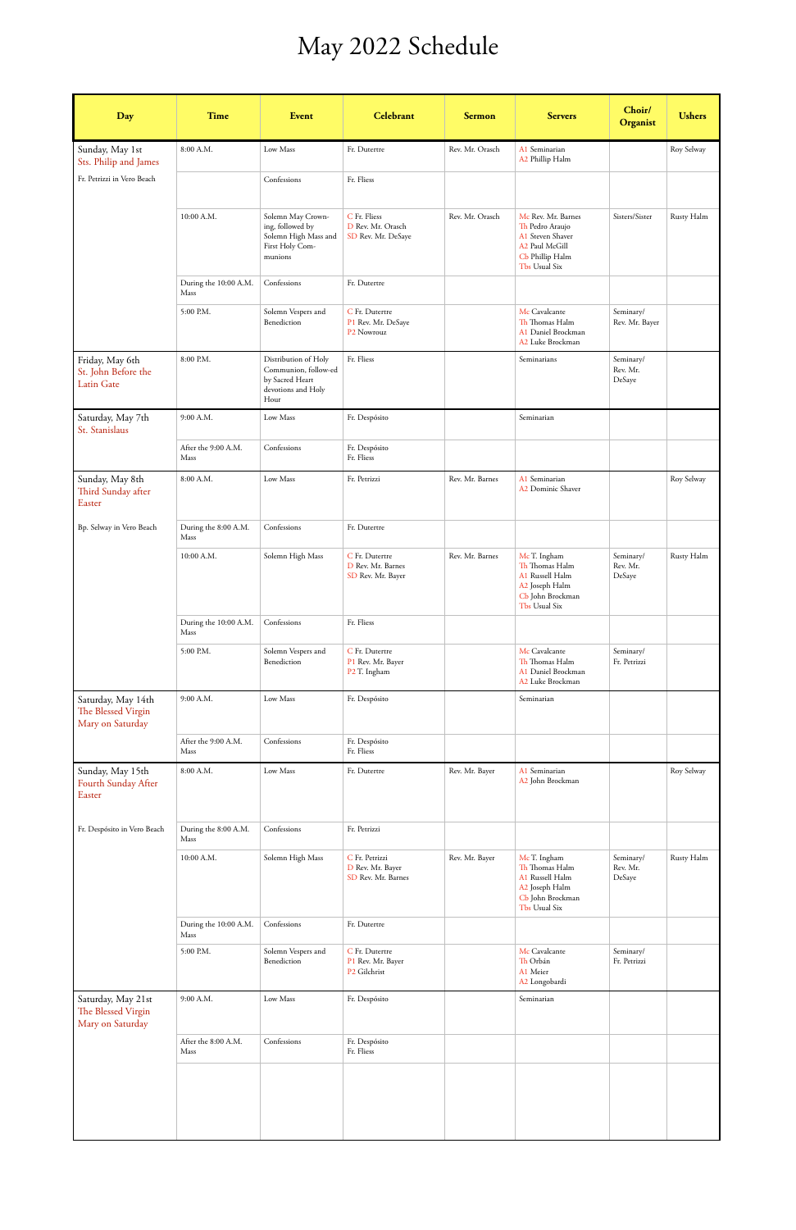## May 2022 Schedule

| Day                                                          | <b>Time</b>                   | Event                                                                                         | Celebrant                                                       | <b>Sermon</b>   | <b>Servers</b>                                                                                                  | Choir/<br>Organist              | <b>Ushers</b> |
|--------------------------------------------------------------|-------------------------------|-----------------------------------------------------------------------------------------------|-----------------------------------------------------------------|-----------------|-----------------------------------------------------------------------------------------------------------------|---------------------------------|---------------|
| Sunday, May 1st                                              | 8:00 A.M.                     | Low Mass                                                                                      | Fr. Dutertre                                                    | Rev. Mr. Orasch | A1 Seminarian<br>A2 Phillip Halm                                                                                |                                 | Roy Selway    |
| Sts. Philip and James<br>Fr. Petrizzi in Vero Beach          |                               | Confessions                                                                                   | Fr. Fliess                                                      |                 |                                                                                                                 |                                 |               |
|                                                              | 10:00 A.M.                    | Solemn May Crown-<br>ing, followed by<br>Solemn High Mass and<br>First Holy Com-<br>munions   | C Fr. Fliess<br>D Rev. Mr. Orasch<br>SD Rev. Mr. DeSaye         | Rev. Mr. Orasch | Mc Rev. Mr. Barnes<br>Th Pedro Araujo<br>A1 Steven Shaver<br>A2 Paul McGill<br>Cb Phillip Halm<br>Tbs Usual Six | Sisters/Sister                  | Rusty Halm    |
|                                                              | During the 10:00 A.M.<br>Mass | Confessions                                                                                   | Fr. Dutertre                                                    |                 |                                                                                                                 |                                 |               |
|                                                              | 5:00 P.M.                     | Solemn Vespers and<br>Benediction                                                             | C Fr. Dutertre<br>P1 Rev. Mr. DeSaye<br>P2 Nowrouz              |                 | Mc Cavalcante<br>Th Thomas Halm<br>A1 Daniel Brockman<br>A2 Luke Brockman                                       | Seminary/<br>Rev. Mr. Bayer     |               |
| Friday, May 6th<br>St. John Before the<br><b>Latin Gate</b>  | 8:00 P.M.                     | Distribution of Holy<br>Communion, follow-ed<br>by Sacred Heart<br>devotions and Holy<br>Hour | Fr. Fliess                                                      |                 | Seminarians                                                                                                     | Seminary/<br>Rev. Mr.<br>DeSaye |               |
| Saturday, May 7th<br>St. Stanislaus                          | 9:00 A.M.                     | Low Mass                                                                                      | Fr. Despósito                                                   |                 | Seminarian                                                                                                      |                                 |               |
|                                                              | After the 9:00 A.M.<br>Mass   | Confessions                                                                                   | Fr. Despósito<br>Fr. Fliess                                     |                 |                                                                                                                 |                                 |               |
| Sunday, May 8th<br>Third Sunday after<br>Easter              | 8:00 A.M.                     | Low Mass                                                                                      | Fr. Petrizzi                                                    | Rev. Mr. Barnes | A1 Seminarian<br>A2 Dominic Shaver                                                                              |                                 | Roy Selway    |
| Bp. Selway in Vero Beach                                     | During the 8:00 A.M.<br>Mass  | Confessions                                                                                   | Fr. Dutertre                                                    |                 |                                                                                                                 |                                 |               |
|                                                              | 10:00 A.M.                    | Solemn High Mass                                                                              | C Fr. Dutertre<br>D Rev. Mr. Barnes<br>SD Rev. Mr. Bayer        | Rev. Mr. Barnes | McT. Ingham<br>Th Thomas Halm<br>A1 Russell Halm<br>A2 Joseph Halm<br>Cb John Brockman<br>Tbs Usual Six         | Seminary/<br>Rev. Mr.<br>DeSaye | Rusty Halm    |
|                                                              | During the 10:00 A.M.<br>Mass | Confessions                                                                                   | Fr. Fliess                                                      |                 |                                                                                                                 |                                 |               |
|                                                              | 5:00 P.M.                     | Solemn Vespers and<br>Benediction                                                             | C Fr. Dutertre<br>P1 Rev. Mr. Bayer<br>P <sub>2</sub> T. Ingham |                 | Mc Cavalcante<br>Th Thomas Halm<br>A1 Daniel Brockman<br>A2 Luke Brockman                                       | Seminary/<br>Fr. Petrizzi       |               |
| Saturday, May 14th<br>The Blessed Virgin<br>Mary on Saturday | 9:00 A.M.                     | Low Mass                                                                                      | Fr. Despósito                                                   |                 | Seminarian                                                                                                      |                                 |               |
|                                                              | After the 9:00 A.M.<br>Mass   | Confessions                                                                                   | Fr. Despósito<br>Fr. Fliess                                     |                 |                                                                                                                 |                                 |               |
| Sunday, May 15th<br>Fourth Sunday After<br>Easter            | 8:00 A.M.                     | Low Mass                                                                                      | Fr. Dutertre                                                    | Rev. Mr. Bayer  | A1 Seminarian<br>A2 John Brockman                                                                               |                                 | Roy Selway    |
| Fr. Despósito in Vero Beach                                  | During the 8:00 A.M.<br>Mass  | Confessions                                                                                   | Fr. Petrizzi                                                    |                 |                                                                                                                 |                                 |               |
|                                                              | 10:00 A.M.                    | Solemn High Mass                                                                              | C Fr. Petrizzi<br>D Rev. Mr. Bayer<br>SD Rev. Mr. Barnes        | Rev. Mr. Bayer  | McT. Ingham<br>Th Thomas Halm<br>A1 Russell Halm<br>A2 Joseph Halm<br>Cb John Brockman<br>Tbs Usual Six         | Seminary/<br>Rev. Mr.<br>DeSaye | Rusty Halm    |
|                                                              | During the 10:00 A.M.<br>Mass | Confessions                                                                                   | Fr. Dutertre                                                    |                 |                                                                                                                 |                                 |               |
|                                                              | 5:00 P.M.                     | Solemn Vespers and<br>Benediction                                                             | C Fr. Dutertre<br>P1 Rev. Mr. Bayer<br>P2 Gilchrist             |                 | Mc Cavalcante<br>Th Orbán<br>A1 Meier<br>A2 Longobardi                                                          | Seminary/<br>Fr. Petrizzi       |               |
| Saturday, May 21st<br>The Blessed Virgin<br>Mary on Saturday | 9:00 A.M.                     | Low Mass                                                                                      | Fr. Despósito                                                   |                 | Seminarian                                                                                                      |                                 |               |
|                                                              | After the 8:00 A.M.<br>Mass   | Confessions                                                                                   | Fr. Despósito<br>Fr. Fliess                                     |                 |                                                                                                                 |                                 |               |
|                                                              |                               |                                                                                               |                                                                 |                 |                                                                                                                 |                                 |               |